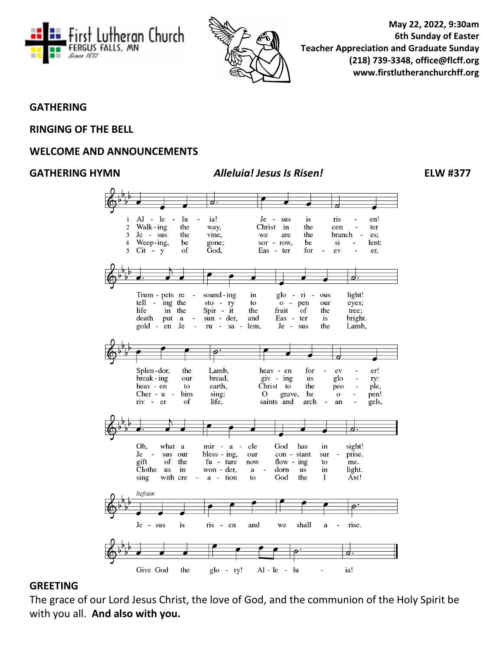



**May 22, 2022, 9:30am 6th Sunday of Easter Teacher Appreciation and Graduate Sunday (218) 739-3348, office@flcff.org [www.firstlutheranchurchff.org](http://www.firstlutheranchurchff.org/)**

#### **GATHERING**

#### **RINGING OF THE BELL**

#### **WELCOME AND ANNOUNCEMENTS**

#### **GATHERING HYMN** *Alleluia! Jesus Is Risen!* **ELW #377**



#### **GREETING**

The grace of our Lord Jesus Christ, the love of God, and the communion of the Holy Spirit be with you all. **And also with you.**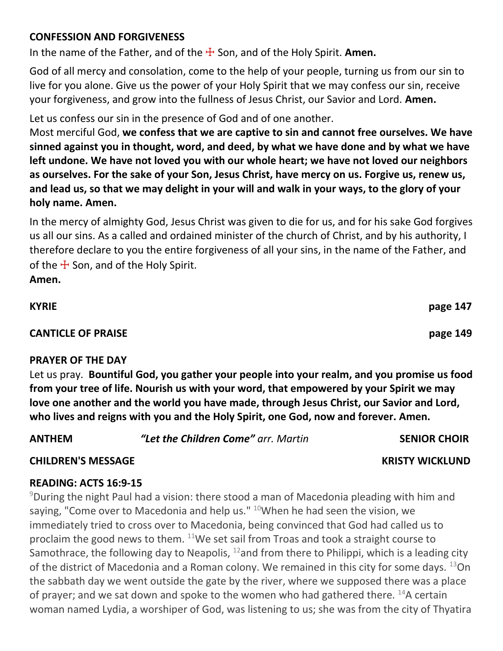## **CONFESSION AND FORGIVENESS**

In the name of the Father, and of the  $\pm$  Son, and of the Holy Spirit. **Amen.** 

God of all mercy and consolation, come to the help of your people, turning us from our sin to live for you alone. Give us the power of your Holy Spirit that we may confess our sin, receive your forgiveness, and grow into the fullness of Jesus Christ, our Savior and Lord. **Amen.**

Let us confess our sin in the presence of God and of one another.

Most merciful God, **we confess that we are captive to sin and cannot free ourselves. We have sinned against you in thought, word, and deed, by what we have done and by what we have left undone. We have not loved you with our whole heart; we have not loved our neighbors as ourselves. For the sake of your Son, Jesus Christ, have mercy on us. Forgive us, renew us, and lead us, so that we may delight in your will and walk in your ways, to the glory of your holy name. Amen.**

In the mercy of almighty God, Jesus Christ was given to die for us, and for his sake God forgives us all our sins. As a called and ordained minister of the church of Christ, and by his authority, I therefore declare to you the entire forgiveness of all your sins, in the name of the Father, and of the  $\pm$  Son, and of the Holy Spirit.

**Amen.**

# **CANTICLE OF PRAISE page 149**

#### **PRAYER OF THE DAY**

Let us pray. **Bountiful God, you gather your people into your realm, and you promise us food from your tree of life. Nourish us with your word, that empowered by your Spirit we may love one another and the world you have made, through Jesus Christ, our Savior and Lord, who lives and reigns with you and the Holy Spirit, one God, now and forever. Amen.**

**ANTHEM** *"Let the Children Come" arr. Martin* **SENIOR CHOIR**

## **CHILDREN'S MESSAGE KRISTY WICKLUND**

## **READING: ACTS 16:9-15**

<sup>9</sup>During the night Paul had a vision: there stood a man of Macedonia pleading with him and saying, "Come over to Macedonia and help us."  $10$ When he had seen the vision, we immediately tried to cross over to Macedonia, being convinced that God had called us to proclaim the good news to them.  $11$ We set sail from Troas and took a straight course to Samothrace, the following day to Neapolis,  $12$  and from there to Philippi, which is a leading city of the district of Macedonia and a Roman colony. We remained in this city for some days.  $^{13}$ On the sabbath day we went outside the gate by the river, where we supposed there was a place of prayer; and we sat down and spoke to the women who had gathered there.  $^{14}$ A certain woman named Lydia, a worshiper of God, was listening to us; she was from the city of Thyatira

**KYRIE page 147**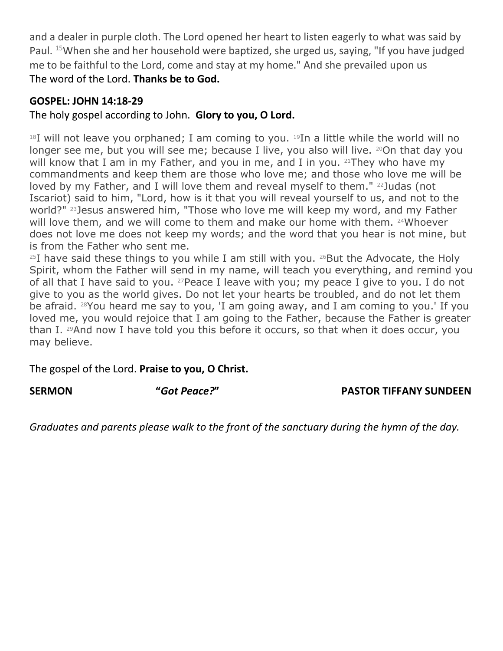and a dealer in purple cloth. The Lord opened her heart to listen eagerly to what was said by Paul. <sup>15</sup>When she and her household were baptized, she urged us, saying, "If you have judged me to be faithful to the Lord, come and stay at my home." And she prevailed upon us The word of the Lord. **Thanks be to God.**

## **GOSPEL: JOHN 14:18-29**

# The holy gospel according to John. **Glory to you, O Lord.**

 $18I$  will not leave you orphaned; I am coming to you.  $19In$  a little while the world will no longer see me, but you will see me; because I live, you also will live. 20 On that day you will know that I am in my Father, and you in me, and I in you.  $21$ They who have my commandments and keep them are those who love me; and those who love me will be loved by my Father, and I will love them and reveal myself to them." <sup>22</sup>Judas (not Iscariot) said to him, "Lord, how is it that you will reveal yourself to us, and not to the world?" <sup>23</sup>Jesus answered him, "Those who love me will keep my word, and my Father will love them, and we will come to them and make our home with them. 24Whoever does not love me does not keep my words; and the word that you hear is not mine, but is from the Father who sent me.

 $25I$  have said these things to you while I am still with you.  $26But$  the Advocate, the Holy Spirit, whom the Father will send in my name, will teach you everything, and remind you of all that I have said to you. <sup>27</sup>Peace I leave with you; my peace I give to you. I do not give to you as the world gives. Do not let your hearts be troubled, and do not let them be afraid. <sup>28</sup>You heard me say to you, 'I am going away, and I am coming to you.' If you loved me, you would rejoice that I am going to the Father, because the Father is greater than I. <sup>29</sup>And now I have told you this before it occurs, so that when it does occur, you may believe.

The gospel of the Lord. **Praise to you, O Christ.**

## **SERMON "***Got Peace?***" PASTOR TIFFANY SUNDEEN**

*Graduates and parents please walk to the front of the sanctuary during the hymn of the day.*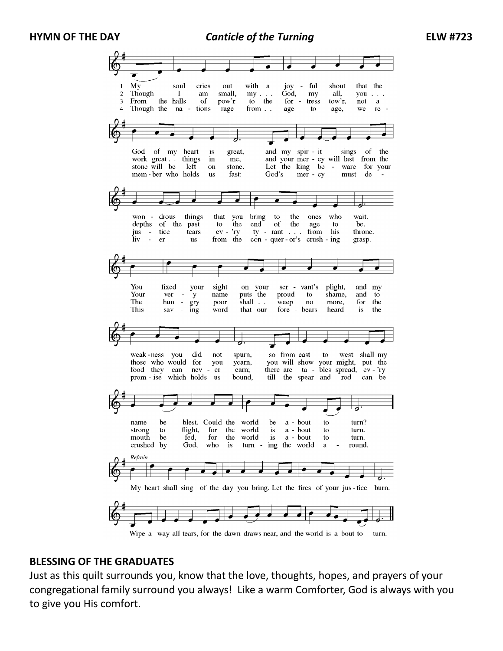**HYMN OF THE DAY** *Canticle of the Turning* **ELW #723**



Wipe a - way all tears, for the dawn draws near, and the world is a-bout to turn.

#### **BLESSING OF THE GRADUATES**

Just as this quilt surrounds you, know that the love, thoughts, hopes, and prayers of your congregational family surround you always! Like a warm Comforter, God is always with you to give you His comfort.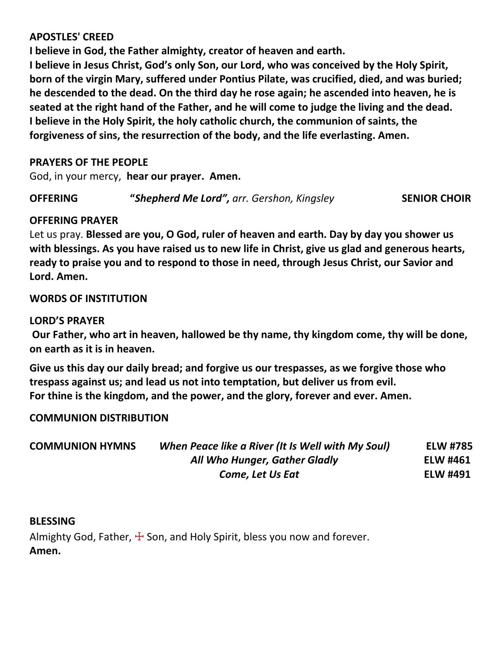#### **APOSTLES' CREED**

**I believe in God, the Father almighty, creator of heaven and earth.**

**I believe in Jesus Christ, God's only Son, our Lord, who was conceived by the Holy Spirit, born of the virgin Mary, suffered under Pontius Pilate, was crucified, died, and was buried; he descended to the dead. On the third day he rose again; he ascended into heaven, he is seated at the right hand of the Father, and he will come to judge the living and the dead. I believe in the Holy Spirit, the holy catholic church, the communion of saints, the forgiveness of sins, the resurrection of the body, and the life everlasting. Amen.**

## **PRAYERS OF THE PEOPLE**

God, in your mercy, **hear our prayer. Amen.**

**OFFERING "***Shepherd Me Lord", arr. Gershon, Kingsley* **SENIOR CHOIR**

#### **OFFERING PRAYER**

Let us pray. **Blessed are you, O God, ruler of heaven and earth. Day by day you shower us with blessings. As you have raised us to new life in Christ, give us glad and generous hearts, ready to praise you and to respond to those in need, through Jesus Christ, our Savior and Lord. Amen.**

#### **WORDS OF INSTITUTION**

#### **LORD'S PRAYER**

**Our Father, who art in heaven, hallowed be thy name, thy kingdom come, thy will be done, on earth as it is in heaven.**

**Give us this day our daily bread; and forgive us our trespasses, as we forgive those who trespass against us; and lead us not into temptation, but deliver us from evil. For thine is the kingdom, and the power, and the glory, forever and ever. Amen.**

## **COMMUNION DISTRIBUTION**

| <b>COMMUNION HYMNS</b> | When Peace like a River (It Is Well with My Soul) | <b>ELW #785</b> |
|------------------------|---------------------------------------------------|-----------------|
|                        | All Who Hunger, Gather Gladly                     | <b>ELW #461</b> |
|                        | Come, Let Us Eat                                  | <b>ELW #491</b> |

#### **BLESSING**

Almighty God, Father,  $\pm$  Son, and Holy Spirit, bless you now and forever. **Amen.**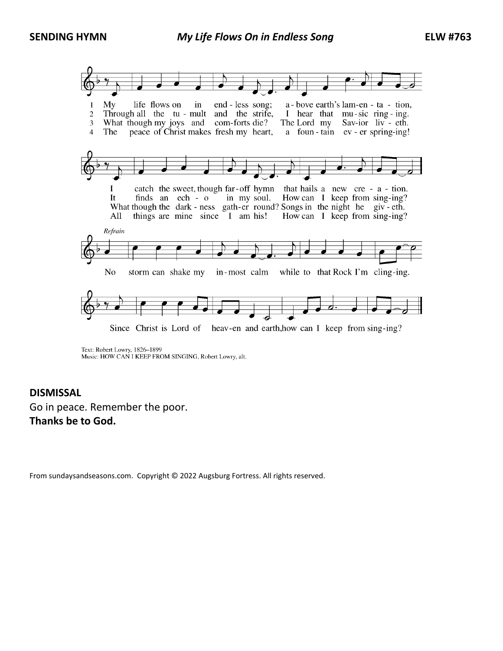**SENDING HYMN** *My Life Flows On in Endless Song* **ELW #763**



Text: Robert Lowry, 1826-1899 Music: HOW CAN I KEEP FROM SINGING, Robert Lowry, alt.

#### **DISMISSAL**

Go in peace. Remember the poor. **Thanks be to God.**

From sundaysandseasons.com. Copyright © 2022 Augsburg Fortress. All rights reserved.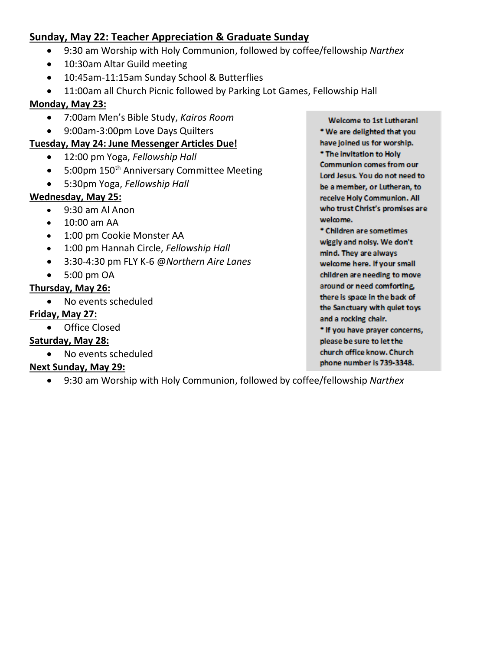# **Sunday, May 22: Teacher Appreciation & Graduate Sunday**

- 9:30 am Worship with Holy Communion, followed by coffee/fellowship *Narthex*
- 10:30am Altar Guild meeting
- 10:45am-11:15am Sunday School & Butterflies
- 11:00am all Church Picnic followed by Parking Lot Games, Fellowship Hall

## **Monday, May 23:**

- 7:00am Men's Bible Study, *Kairos Room*
- 9:00am-3:00pm Love Days Quilters

#### **Tuesday, May 24: June Messenger Articles Due!**

- 12:00 pm Yoga, *Fellowship Hall*
- 5:00pm 150<sup>th</sup> Anniversary Committee Meeting
- 5:30pm Yoga, *Fellowship Hall*

#### **Wednesday, May 25:**

- 9:30 am Al Anon
- 10:00 am AA
- 1:00 pm Cookie Monster AA
- 1:00 pm Hannah Circle, *Fellowship Hall*
- 3:30-4:30 pm FLY K-6 @*Northern Aire Lanes*
- 5:00 pm OA

## **Thursday, May 26:**

• No events scheduled

## **Friday, May 27:**

• Office Closed

## **Saturday, May 28:**

• No events scheduled

## **Next Sunday, May 29:**

• 9:30 am Worship with Holy Communion, followed by coffee/fellowship *Narthex* 

**Welcome to 1st Lutherani** \* We are delighted that you have joined us for worship. \* The invitation to Holy **Communion comes from our** Lord Jesus. You do not need to be a member, or Lutheran, to receive Holy Communion. All who trust Christ's promises are welmme.

\* Children are sometimes wiggly and noisy. We don't mind. They are always welcome here. If your small children are needing to move around or need comforting, there is space in the back of the Sanctuary with quiet toys and a rocking chair.

\* If you have prayer concerns, please be sure to let the church office know. Church phone number is 739-3348.